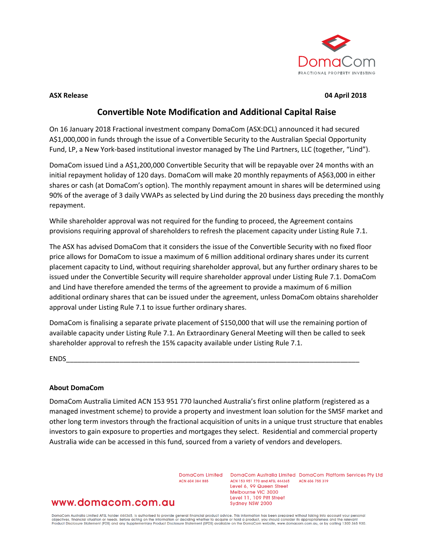

#### **ASX Release 04 April 2018**

## **Convertible Note Modification and Additional Capital Raise**

On 16 January 2018 Fractional investment company DomaCom (ASX:DCL) announced it had secured A\$1,000,000 in funds through the issue of a Convertible Security to the Australian Special Opportunity Fund, LP, a New York-based institutional investor managed by The Lind Partners, LLC (together, "Lind").

DomaCom issued Lind a A\$1,200,000 Convertible Security that will be repayable over 24 months with an initial repayment holiday of 120 days. DomaCom will make 20 monthly repayments of A\$63,000 in either shares or cash (at DomaCom's option). The monthly repayment amount in shares will be determined using 90% of the average of 3 daily VWAPs as selected by Lind during the 20 business days preceding the monthly repayment.

While shareholder approval was not required for the funding to proceed, the Agreement contains provisions requiring approval of shareholders to refresh the placement capacity under Listing Rule 7.1.

The ASX has advised DomaCom that it considers the issue of the Convertible Security with no fixed floor price allows for DomaCom to issue a maximum of 6 million additional ordinary shares under its current placement capacity to Lind, without requiring shareholder approval, but any further ordinary shares to be issued under the Convertible Security will require shareholder approval under Listing Rule 7.1. DomaCom and Lind have therefore amended the terms of the agreement to provide a maximum of 6 million additional ordinary shares that can be issued under the agreement, unless DomaCom obtains shareholder approval under Listing Rule 7.1 to issue further ordinary shares.

DomaCom is finalising a separate private placement of \$150,000 that will use the remaining portion of available capacity under Listing Rule 7.1. An Extraordinary General Meeting will then be called to seek shareholder approval to refresh the 15% capacity available under Listing Rule 7.1.

ENDS\_\_\_\_\_\_\_\_\_\_\_\_\_\_\_\_\_\_\_\_\_\_\_\_\_\_\_\_\_\_\_\_\_\_\_\_\_\_\_\_\_\_\_\_\_\_\_\_\_\_\_\_\_\_\_\_\_\_\_\_\_\_\_\_\_\_\_\_\_\_\_\_\_\_\_\_\_

### **About DomaCom**

DomaCom Australia Limited ACN 153 951 770 launched Australia's first online platform (registered as a managed investment scheme) to provide a property and investment loan solution for the SMSF market and other long term investors through the fractional acquisition of units in a unique trust structure that enables investors to gain exposure to properties and mortgages they select. Residential and commercial property Australia wide can be accessed in this fund, sourced from a variety of vendors and developers.

ACN 604 384 885

DomaCom Limited DomaCom Australia Limited DomaCom Platform Services Pty Ltd ACN 153 951 770 and AFSL 444365 ACN 606 755 319 Level 6, 99 Queen Street Melbourne VIC 3000 Level 11, 109 Pitt Street Sydney NSW 2000

# www.domacom.com.au

DomaCom Australia Limited AFSL holder 444365, is authorised to provide general financial product advice. This information has been prepared without taking into account your personal<br>objectives, financial situation or needs